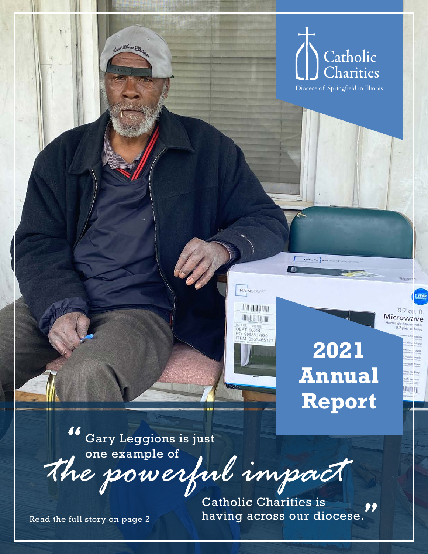

**2021 Annual Report**

 $0.7$  cii. ft. Microwave

**TION DIT** 

*the powerful impact* Gary Leggions is just one example of *"*

Read the full story on page 2

Catholic Charities is having across our diocese. **.**<br>"<br>|<br>|

MAINSTAYS

**HOLD TOTAL** 

**JANUAR TETRI** 

TO US 000185<br>DEPT 00014<br>PO 9968837930<br>ITEM 0555465177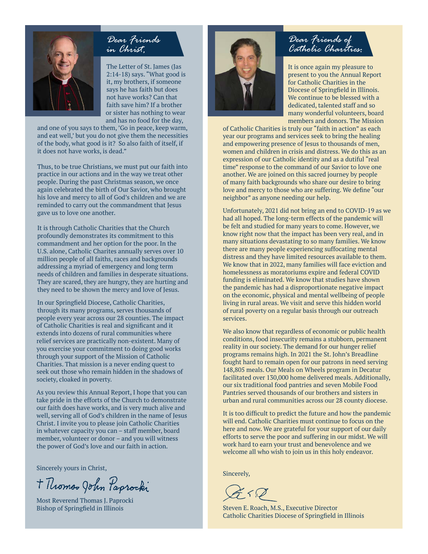

### *Dear Friends in Christ,*

The Letter of St. James (Jas 2:14-18) says. "What good is it, my brothers, if someone says he has faith but does not have works? Can that faith save him? If a brother or sister has nothing to wear and has no food for the day,

and one of you says to them, 'Go in peace, keep warm, and eat well,' but you do not give them the necessities of the body, what good is it? So also faith of itself, if it does not have works, is dead."

Thus, to be true Christians, we must put our faith into practice in our actions and in the way we treat other people. During the past Christmas season, we once again celebrated the birth of Our Savior, who brought his love and mercy to all of God's children and we are reminded to carry out the commandment that Jesus gave us to love one another.

It is through Catholic Charities that the Church profoundly demonstrates its commitment to this commandment and her option for the poor. In the U.S. alone, Catholic Charites annually serves over 10 million people of all faiths, races and backgrounds addressing a myriad of emergency and long term needs of children and families in desperate situations. They are scared, they are hungry, they are hurting and they need to be shown the mercy and love of Jesus.

In our Springfield Diocese, Catholic Charities, through its many programs, serves thousands of people every year across our 28 counties. The impact of Catholic Charities is real and significant and it extends into dozens of rural communities where relief services are practically non-existent. Many of you exercise your commitment to doing good works through your support of the Mission of Catholic Charities. That mission is a never ending quest to seek out those who remain hidden in the shadows of society, cloaked in poverty.

As you review this Annual Report, I hope that you can take pride in the efforts of the Church to demonstrate our faith does have works, and is very much alive and well, serving all of God's children in the name of Jesus Christ. I invite you to please join Catholic Charities in whatever capacity you can – staff member, board member, volunteer or donor – and you will witness the power of God's love and our faith in action.

Sincerely yours in Christ,

+ Thomso John Paprocki

Most Reverend Thomas J. Paprocki Bishop of Springfield in Illinois



### *Dear Friends of Catholic Charities:*

It is once again my pleasure to present to you the Annual Report for Catholic Charities in the Diocese of Springfield in Illinois. We continue to be blessed with a dedicated, talented staff and so many wonderful volunteers, board members and donors. The Mission

of Catholic Charities is truly our "faith in action" as each year our programs and services seek to bring the healing and empowering presence of Jesus to thousands of men, women and children in crisis and distress. We do this as an expression of our Catholic identity and as a dutiful "real time" response to the command of our Savior to love one another. We are joined on this sacred journey by people of many faith backgrounds who share our desire to bring love and mercy to those who are suffering. We define "our neighbor" as anyone needing our help.

Unfortunately, 2021 did not bring an end to COVID-19 as we had all hoped. The long-term effects of the pandemic will be felt and studied for many years to come. However, we know right now that the impact has been very real, and in many situations devastating to so many families. We know there are many people experiencing suffocating mental distress and they have limited resources available to them. We know that in 2022, many families will face eviction and homelessness as moratoriums expire and federal COVID funding is eliminated. We know that studies have shown the pandemic has had a disproportionate negative impact on the economic, physical and mental wellbeing of people living in rural areas. We visit and serve this hidden world of rural poverty on a regular basis through our outreach services.

We also know that regardless of economic or public health conditions, food insecurity remains a stubborn, permanent reality in our society. The demand for our hunger relief programs remains high. In 2021 the St. John's Breadline fought hard to remain open for our patrons in need serving 148,805 meals. Our Meals on Wheels program in Decatur facilitated over 130,000 home delivered meals. Additionally, our six traditional food pantries and seven Mobile Food Pantries served thousands of our brothers and sisters in urban and rural communities across our 28 county diocese.

It is too difficult to predict the future and how the pandemic will end. Catholic Charities must continue to focus on the here and now. We are grateful for your support of our daily efforts to serve the poor and suffering in our midst. We will work hard to earn your trust and benevolence and we welcome all who wish to join us in this holy endeavor.

Sincerely,

 $\bigtimes \cap \mathbb{Z}$ 

Steven E. Roach, M.S., Executive Director Catholic Charities Diocese of Springfield in Illinois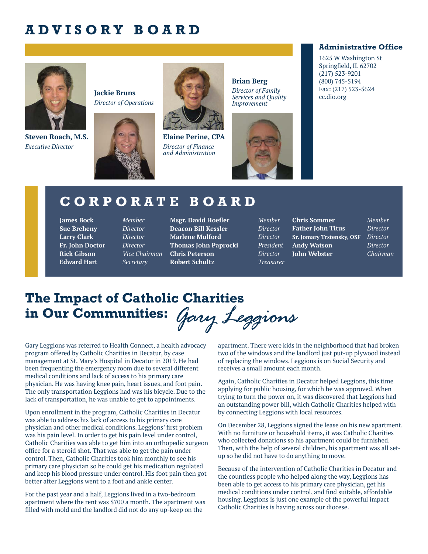## **ADVISORY BOARD**



**Steven Roach, M.S.** *Executive Director*







**Elaine Perine, CPA** *Director of Finance and Administration*

**Brian Berg** *Director of Family Services and Quality* 



#### **Administrative Office**

1625 W Washington St Springfield, IL 62702 (217) 523-9201 (800) 745-5194 Fax: (217) 523-5624 cc.dio.org

### **CORPORATE BOARD**

**James Bock** *Member* **Sue Breheny** *Director* **Larry Clark** *Director* **Fr. John Doctor** *Director* **Rick Gibson** *Vice Chairman* **Edward Hart** *Secretary*

**Msgr. David Hoefler** *Member* **Deacon Bill Kessler** *Director* **Marlene Mulford** *Director* **Thomas John Paprocki** *President* **Chris Peterson** *Director* **Robert Schultz** *Treasurer*

**Chris Sommer** *Member* **Father John Titus** *Director* **Sr. Jomary Trstensky, OSF** *Director* **Andy Watson** *Director* **John Webster** *Chairman*

### **The Impact of Catholic Charities in Our Communities:** *Gary Leggions*

Gary Leggions was referred to Health Connect, a health advocacy program offered by Catholic Charities in Decatur, by case management at St. Mary's Hospital in Decatur in 2019. He had been frequenting the emergency room due to several different medical conditions and lack of access to his primary care physician. He was having knee pain, heart issues, and foot pain. The only transportation Leggions had was his bicycle. Due to the lack of transportation, he was unable to get to appointments.

Upon enrollment in the program, Catholic Charities in Decatur was able to address his lack of access to his primary care physician and other medical conditions. Leggions' first problem was his pain level. In order to get his pain level under control, Catholic Charities was able to get him into an orthopedic surgeon office for a steroid shot. That was able to get the pain under control. Then, Catholic Charities took him monthly to see his primary care physician so he could get his medication regulated and keep his blood pressure under control. His foot pain then got better after Leggions went to a foot and ankle center.

For the past year and a half, Leggions lived in a two-bedroom apartment where the rent was \$700 a month. The apartment was filled with mold and the landlord did not do any up-keep on the

apartment. There were kids in the neighborhood that had broken two of the windows and the landlord just put-up plywood instead of replacing the windows. Leggions is on Social Security and receives a small amount each month.

Again, Catholic Charities in Decatur helped Leggions, this time applying for public housing, for which he was approved. When trying to turn the power on, it was discovered that Leggions had an outstanding power bill, which Catholic Charities helped with by connecting Leggions with local resources.

On December 28, Leggions signed the lease on his new apartment. With no furniture or household items, it was Catholic Charities who collected donations so his apartment could be furnished. Then, with the help of several children, his apartment was all setup so he did not have to do anything to move.

Because of the intervention of Catholic Charities in Decatur and the countless people who helped along the way, Leggions has been able to get access to his primary care physician, get his medical conditions under control, and find suitable, affordable housing. Leggions is just one example of the powerful impact Catholic Charities is having across our diocese.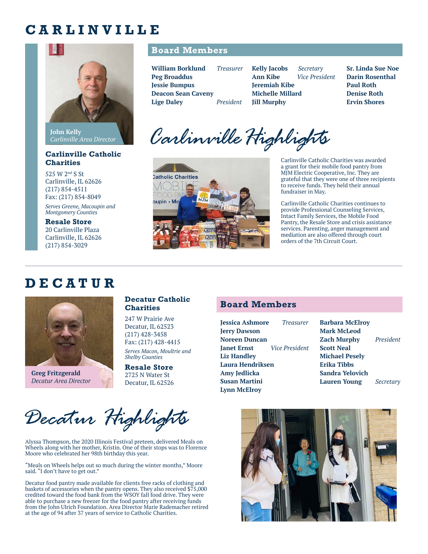### **CARLINVILLE**



**John Kelly** *Carlinville Area Director*

#### **Carlinville Catholic Charities**

525 W 2nd S St Carlinville, IL 62626 (217) 854-4511 Fax: (217) 854-8049

*Serves Greene, Macoupin and Montgomery Counties*

**Resale Store** 20 Carlinville Plaza Carlinville, IL 62626 (217) 854-3029

#### **Board Members**

| William Borklund          | <b>Treasurer</b> | <b>Kelly Jacobs</b>     | Secretary      | <b>Sr. Linda Sue Noe</b> |
|---------------------------|------------------|-------------------------|----------------|--------------------------|
| <b>Peg Broaddus</b>       |                  | <b>Ann Kibe</b>         | Vice President | <b>Darin Rosenthal</b>   |
| <b>Jessie Bumpus</b>      |                  | <b>Jeremiah Kibe</b>    |                | <b>Paul Roth</b>         |
| <b>Deacon Sean Caveny</b> |                  | <b>Michelle Millard</b> |                | <b>Denise Roth</b>       |
| <b>Lige Daley</b>         | President        | <b>Iill Murphy</b>      |                | <b>Ervin Shores</b>      |
|                           |                  |                         |                |                          |

Carlinville Highlights



Carlinville Catholic Charities was awarded a grant for their mobile food pantry from MJM Electric Cooperative, Inc. They are grateful that they were one of three recipients to receive funds. They held their annual fundraiser in May.

Carlinville Catholic Charities continues to provide Professional Counseling Services, Intact Family Services, the Mobile Food Pantry, the Resale Store and crisis assistance services. Parenting, anger management and mediation are also offered through court orders of the 7th Circuit Court.

### **DECATUR**



**Greg Fritzgerald** *Decatur Area Director*

#### **Decatur Catholic Charities**

247 W Prairie Ave Decatur, IL 62523 (217) 428-3458 Fax: (217) 428-4415

*Serves Macon, Moultrie and Shelby Counties*

**Resale Store** 2725 N Water St Decatur, IL 62526

# **Board Members**

**Jessica Ashmore** *Treasurer* **Jerry Dawson Noreen Duncan Janet Ernst** *Vice President* **Liz Handley Laura Hendriksen Amy Jedlicka Susan Martini Lynn McElroy**

**Barbara McElroy Mark McLeod Zach Murphy** *President* **Scott Neal Michael Pesely Erika Tibbs Sandra Yelovich Lauren Young** *Secretary*



*Decatur Highlights*

Alyssa Thompson, the 2020 Illinois Festival preteen, delivered Meals on Wheels along with her mother, Kristin. One of their stops was to Florence Moore who celebrated her 98th birthday this year.

"Meals on Wheels helps out so much during the winter months," Moore said. "I don't have to get out."

Decatur food pantry made available for clients free racks of clothing and baskets of accessories when the pantry opens. They also received \$75,000 credited toward the food bank from the WSOY fall food drive. They were able to purchase a new freezer for the food pantry after receiving funds from the John Ulrich Foundation. Area Director Marie Rademacher retired at the age of 94 after 37 years of service to Catholic Charities.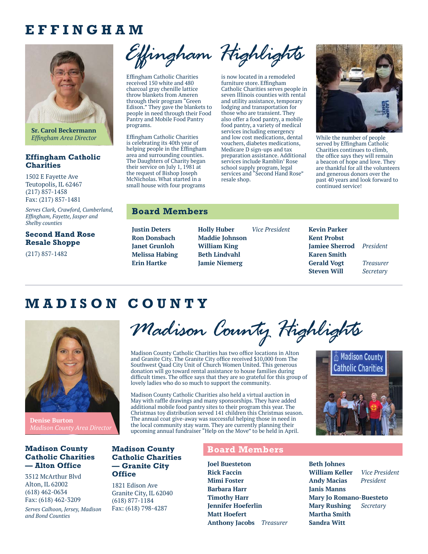### **EFFINGHAM**



**Sr. Carol Beckermann** *Effingham Area Director*

#### **Effingham Catholic Charities**

1502 E Fayette Ave Teutopolis, IL 62467 (217) 857-1458 Fax: (217) 857-1481

*Serves Clark, Crawford, Cumberland, Effingham, Fayette, Jasper and Shelby counties*

#### **Second Hand Rose Resale Shoppe**

(217) 857-1482

*Effingham Highlights*

Effingham Catholic Charities received 150 white and 480 charcoal gray chenille lattice throw blankets from Ameren through their program "Green Edison." They gave the blankets to people in need through their Food Pantry and Mobile Food Pantry programs.

Effingham Catholic Charities is celebrating its 40th year of helping people in the Effingham area and surrounding counties. The Daughters of Charity began their service on July 1, 1981 at the request of Bishop Joseph McNicholas. What started in a small house with four programs

is now located in a remodeled furniture store. Effingham Catholic Charities serves people in seven Illinois counties with rental and utility assistance, temporary lodging and transportation for

> those who are transient. They also offer a food pantry, a mobile food pantry, a variety of medical services including emergency and low cost medications, dental vouchers, diabetes medications, Medicare D sign-ups and tax preparation assistance. Additional services include Ramblin' Rose school supply program, legal services and "Second Hand Rose" resale shop.



While the number of people served by Effingham Catholic Charities continues to climb, the office says they will remain a beacon of hope and love. They are thankful for all the volunteers and generous donors over the past 40 years and look forward to continued service!

#### **Board Members**

**Justin Deters Ron Donsbach Janet Grunloh Melissa Habing Erin Hartke**

**Madison County Catholic Charities — Granite City** 

**Office**

1821 Edison Ave Granite City, IL 62040 (618) 877-1184 Fax: (618) 798-4287

**Holly Huber** *Vice President* **Maddie Johnson William King Beth Lindvahl Jamie Niemerg** 

**Kevin Parker Kent Probst Jamiee Sherrod** *President* **Karen Smith Gerald Vogt** *Treasurer* **Steven Will** *Secretary*

 $\triangle$  Madison County **Catholic Charities** 

## **MADISON COUNTY**



**Denise Burton**

#### **Madison County Catholic Charities — Alton Office**

3512 McArthur Blvd Alton, IL 62002 (618) 462-0634 Fax: (618) 462-3209

*Serves Calhoon, Jersey, Madison and Bond Counties*

*Madison County Highlights*

Madison County Catholic Charities has two office locations in Alton and Granite City. The Granite City office received \$10,000 from The Southwest Quad City Unit of Church Women United. This generous donation will go toward rental assistance to house families during difficult times. The office says that they are so grateful for this group of lovely ladies who do so much to support the community.

Madison County Catholic Charities also held a virtual auction in May with raffle drawings and many sponsorships. They have added additional mobile food pantry sites to their program this year. The Christmas toy distribution served 141 children this Christmas season. The annual coat give-away was successful helping those in need in the local community stay warm. They are currently planning their upcoming annual fundraiser "Help on the Move" to be held in April.



**Joel Buesteton Rick Faccin Mimi Foster Barbara Harr Timothy Harr Jennifer Hoeferlin Matt Hoefert Anthony Jacobs** *Treasurer* **Beth Johnes William Keller** *Vice President* **Andy Macias** *President* **Janis Manns Mary Jo Romano-Buesteto Mary Rushing** *Secretary* **Martha Smith Sandra Witt**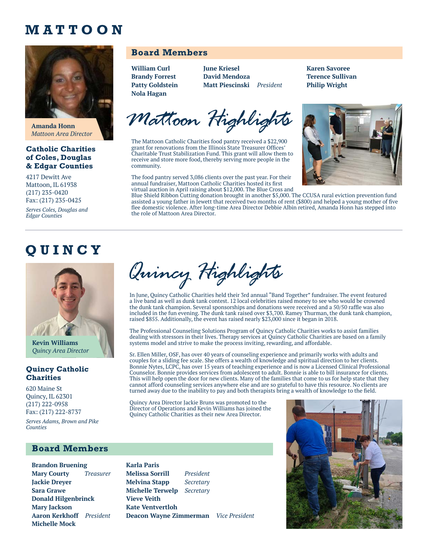### **MATTOON**



**Amanda Honn** *Mattoon Area Director*

#### **Catholic Charities of Coles, Douglas & Edgar Counties**

4217 Dewitt Ave Mattoon, IL 61938 (217) 235-0420 Fax: (217) 235-0425

*Serves Coles, Douglas and Edgar Counties*

# **QUINCY**



**Kevin Williams** *Quincy Area Director*

#### **Quincy Catholic Charities**

620 Maine St Quincy, IL 62301 (217) 222-0958 Fax: (217) 222-8737

*Serves Adams, Brown and Pike Counties*

#### **Board Members**

**Brandon Bruening Mary Courty** *Treasurer* **Jackie Dreyer Sara Grawe Donald Hilgenbrinck Mary Jackson Aaron Kerkhoff** *President* **Michelle Mock**

### **Board Members**

**William Curl Brandy Forrest Patty Goldstein Nola Hagan**

**June Kriesel David Mendoza Matt Piescinski** *President* **Karen Savoree Terence Sullivan Philip Wright**

*Mattoon Highlights*

The Mattoon Catholic Charities food pantry received a \$22,900 grant for renovations from the Illinois State Treasurer Offices' Charitable Trust Stabilization Fund. This grant will allow them to receive and store more food, thereby serving more people in the community.

The food pantry served 3,086 clients over the past year. For their annual fundraiser, Mattoon Catholic Charities hosted its first

virtual auction in April raising about \$12,000. The Blue Cross and Blue Shield Ribbon Cutting donation brought in another \$5,000. The CCUSA rural eviction prevention fund assisted a young father in Jewett that received two months of rent (\$800) and helped a young mother of five flee domestic violence. After long-time Area Director Debbie Albin retired, Amanda Honn has stepped into the role of Mattoon Area Director.

*Quincy Highlights*

In June, Quincy Catholic Charities held their 3rd annual "Band Together" fundraiser. The event featured a live band as well as dunk tank contest. 12 local celebrities raised money to see who would be crowned the dunk tank champion. Several sponsorships and donations were received and a 50/50 raffle was also included in the fun evening. The dunk tank raised over \$3,700. Ramey Thurman, the dunk tank champion, raised \$855. Additionally, the event has raised nearly \$23,000 since it began in 2018.

The Professional Counseling Solutions Program of Quincy Catholic Charities works to assist families dealing with stressors in their lives. Therapy services at Quincy Catholic Charities are based on a family systems model and strive to make the process inviting, rewarding, and affordable.

Sr. Ellen Miller, OSF, has over 40 years of counseling experience and primarily works with adults and couples for a sliding fee scale. She offers a wealth of knowledge and spiritual direction to her clients. Bonnie Nytes, LCPC, has over 15 years of teaching experience and is now a Licensed Clinical Professional Counselor. Bonnie provides services from adolescent to adult. Bonnie is able to bill insurance for clients. This will help open the door for new clients. Many of the families that come to us for help state that they cannot afford counseling services anywhere else and are so grateful to have this resource. No clients are turned away due to the inability to pay and both therapists bring a wealth of knowledge to the field.

Quincy Area Director Jackie Bruns was promoted to the Director of Operations and Kevin Williams has joined the Quincy Catholic Charities as their new Area Director.

**Karla Paris** 

**Vieve Veith Kate Ventvertloh**

**Melissa Sorrill** *President* **Melvina Stapp** *Secretary* **Michelle Terwelp** *Secretary*

**Deacon Wayne Zimmerman** *Vice President*

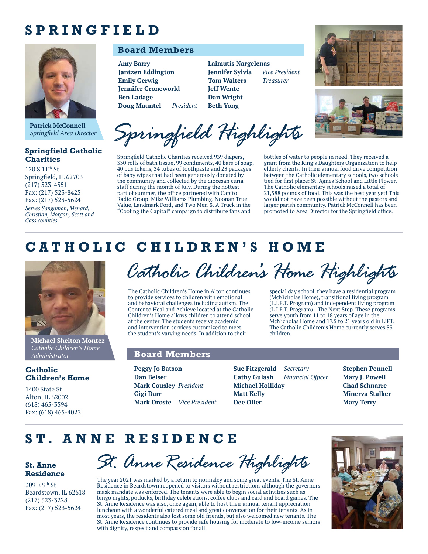## **SPRINGFIELD**



*Springfield Area Director*

#### **Springfield Catholic Charities**

120 S 11th St Springfield, IL 62703 (217) 523-4551 Fax: (217) 523-8425 Fax: (217) 523-5624 *Serves Sangamon, Menard, Christian, Morgan, Scott and Cass counties*

### **Board Members**

**Amy Barry Jantzen Eddington Emily Gerwig Jennifer Groneworld Ben Ladage Doug Mauntel** *President* **Laimutis Nargelenas Jennifer Sylvia** *Vice President* **Tom Walters** *Treasurer* **Jeff Wente Dan Wright Beth Yong**





Patrick McConnell<br>Springfield Area Director **Springfield Highlights** 

Springfield Catholic Charities received 939 diapers, 330 rolls of bath tissue, 99 condiments, 40 bars of soap, 40 bus tokens, 34 tubes of toothpaste and 23 packages of baby wipes that had been generously donated by the community and collected by the diocesan curia staff during the month of July. During the hottest part of summer, the office partnered with Capitol Radio Group, Mike Williams Plumbing, Noonan True Value, Landmark Ford, and Two Men & A Truck in the "Cooling the Capital" campaign to distribute fans and

bottles of water to people in need. They received a grant from the King's Daughters Organization to help elderly clients. In their annual food drive competition between the Catholic elementary schools, two schools tied for first place: St. Agnes School and Little Flower. The Catholic elementary schools raised a total of 21,588 pounds of food. This was the best year yet! This would not have been possible without the pastors and larger parish community. Patrick McConnell has been promoted to Area Director for the Springfield office.

special day school, they have a residential program (McNicholas Home), transitional living program (L.I.F.T. Program) and independent living program (L.I.F.T. Program) - The Next Step. These programs serve youth from 11 to 18 years of age in the McNicholas Home and 17.5 to 21 years old in LIFT. The Catholic Children's Home currently serves 53

### **CATHOLIC CHILDREN'S HOME**



**Michael Shelton Montez** *Catholic Children's Home Administrator*

#### **Catholic Children's Home**

1400 State St Alton, IL 62002 (618) 465-3594 Fax: (618) 465-4023

*Catholic Children's Home Highlights*

The Catholic Children's Home in Alton continues to provide services to children with emotional and behavioral challenges including autism. The Center to Heal and Achieve located at the Catholic Children's Home allows children to attend school at the center. The students receive academic and intervention services customized to meet the student's varying needs. In addition to their

#### **Board Members**

**Peggy Jo Batson Dan Beiser Mark Cousley** *President* **Gigi Darr Mark Droste** *Vice President* **Sue Fitzgerald** *Secretary* **Cathy Gulash** *Financial Officer* **Michael Holliday Matt Kelly Dee Oller**

children.

**Stephen Pennell Mary J. Powell Chad Schnarre Minerva Stalker Mary Terry**

### **ST. ANNE RESIDENCE**

**St. Anne Residence**

309 E 9th St Beardstown, IL 62618 (217) 323-3228 Fax: (217) 523-5624

*St. Anne Residence Highlights*

The year 2021 was marked by a return to normalcy and some great events. The St. Anne Residence in Beardstown reopened to visitors without restrictions although the governors mask mandate was enforced. The tenants were able to begin social activities such as bingo nights, potlucks, birthday celebrations, coffee clubs and card and board games. The St. Anne Residence was also, once again, able to host their annual tenant appreciation luncheon with a wonderful catered meal and great conversation for their tenants. As in most years, the residents also lost some old friends, but also welcomed new tenants. The St. Anne Residence continues to provide safe housing for moderate to low-income seniors with dignity, respect and compassion for all.

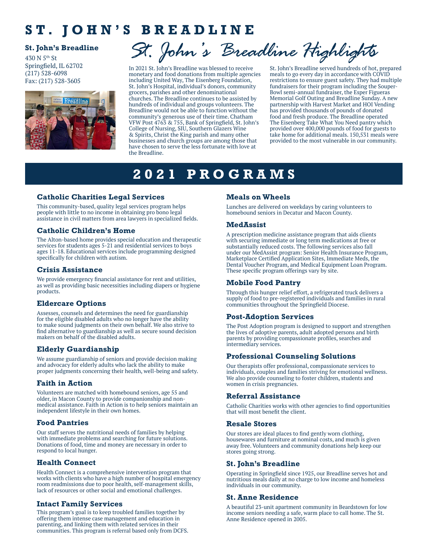## **ST. JOHN'S BREADLINE**

#### **St. John's Breadline**

430 N 5th St Springfield, IL 62702 (217) 528-6098 Fax: (217) 528-3605



*St. John's Breadline Highlights*

In 2021 St. John's Breadline was blessed to receive monetary and food donations from multiple agencies including United Way, The Eisenberg Foundation, St. John's Hospital, individual's donors, community grocers, parishes and other denominational churches. The Breadline continues to be assisted by hundreds of individual and groups volunteers. The Breadline would not be able to function without the community's generous use of their time. Chatham VFW Post 4763 & 755, Bank of Springfield, St. John's College of Nursing, SIU, Southern Glazers Wine & Spirits, Christ the King parish and many other businesses and church groups are among those that have chosen to serve the less fortunate with love at the Breadline.

St. John's Breadline served hundreds of hot, prepared meals to go every day in accordance with COVID restrictions to ensure guest safety. They had multiple fundraisers for their program including the Souper-Bowl semi-annual fundraiser, the Esper Figueras Memorial Golf Outing and Breadline Sunday. A new partnership with Harvest Market and HOI Vending has provided thousands of pounds of donated food and fresh produce. The Breadline operated The Eisenberg Take What You Need pantry which provided over 400,000 pounds of food for guests to take home for additional meals. 150,531 meals were provided to the most vulnerable in our community.

# **2021 PROGRAMS**

#### **Catholic Charities Legal Services**

This community-based, quality legal services program helps people with little to no income in obtaining pro bono legal assistance in civil matters from area lawyers in specialized fields.

#### **Catholic Children's Home**

The Alton-based home provides special education and therapeutic services for students ages 5-21 and residential services to boys ages 11-18. Educational services include programming designed specifically for children with autism.

#### **Crisis Assistance**

We provide emergency financial assistance for rent and utilities, as well as providing basic necessities including diapers or hygiene products.

#### **Eldercare Options**

Assesses, counsels and determines the need for guardianship for the eligible disabled adults who no longer have the ability to make sound judgments on their own behalf. We also strive to find alternative to guardianship as well as secure sound decision makers on behalf of the disabled adults.

#### **Elderly Guardianship**

We assume guardianship of seniors and provide decision making and advocacy for elderly adults who lack the ability to make proper judgments concerning their health, well-being and safety.

#### **Faith in Action**

Volunteers are matched with homebound seniors, age 55 and older, in Macon County to provide companionship and nonmedical assistance. Faith in Action is to help seniors maintain an independent lifestyle in their own homes.

#### **Food Pantries**

Our staff serves the nutritional needs of families by helping with immediate problems and searching for future solutions. Donations of food, time and money are necessary in order to respond to local hunger.

#### **Health Connect**

Health Connect is a comprehensive intervention program that works with clients who have a high number of hospital emergency room readmissions due to poor health, self-management skills, lack of resources or other social and emotional challenges.

#### **Intact Family Services**

This program's goal is to keep troubled families together by offering them intense case management and education in parenting, and linking them with related services in their communities. This program is referral based only from DCFS.

#### **Meals on Wheels**

Lunches are delivered on weekdays by caring volunteers to homebound seniors in Decatur and Macon County.

#### **MedAssist**

A prescription medicine assistance program that aids clients with securing immediate or long term medications at free or substantially reduced costs. The following services also fall under our MedAssist program: Senior Health Insurance Program, Marketplace Certified Application Sites, Immediate Meds, the Dental Voucher Program, and Medical Equipment Loan Program. These specific program offerings vary by site.

#### **Mobile Food Pantry**

Through this hunger relief effort, a refrigerated truck delivers a supply of food to pre-registered individuals and families in rural communities throughout the Springfield Diocese.

#### **Post-Adoption Services**

The Post Adoption program is designed to support and strengthen the lives of adoptive parents, adult adopted persons and birth parents by providing compassionate profiles, searches and intermediary services.

#### **Professional Counseling Solutions**

Our therapists offer professional, compassionate services to individuals, couples and families striving for emotional wellness. We also provide counseling to foster children, students and women in crisis pregnancies.

#### **Referral Assistance**

Catholic Charities works with other agencies to find opportunities that will most benefit the client.

#### **Resale Stores**

Our stores are ideal places to find gently worn clothing, housewares and furniture at nominal costs, and much is given away free. Volunteers and community donations help keep our stores going strong.

#### **St. John's Breadline**

Operating in Springfield since 1925, our Breadline serves hot and nutritious meals daily at no charge to low income and homeless individuals in our community.

#### **St. Anne Residence**

A beautiful 23-unit apartment community in Beardstown for low income seniors needing a safe, warm place to call home. The St. Anne Residence opened in 2005.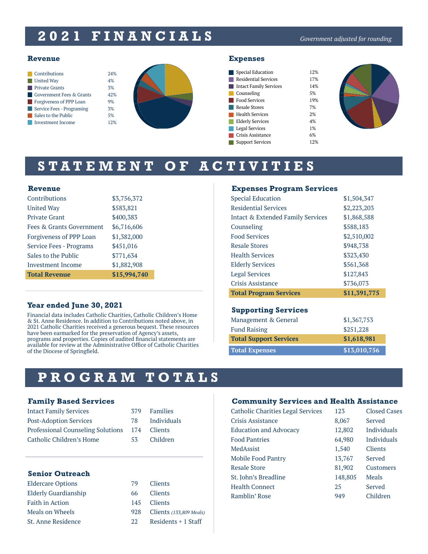# **2021 FINANCIALS**

#### *Government adjusted for rounding*

|                       | Contributions                       | 2.4% |
|-----------------------|-------------------------------------|------|
| <b>United Way</b>     |                                     | 4%   |
| <b>Private Grants</b> |                                     | 3%   |
|                       | <b>Government Fees &amp; Grants</b> | 42%  |
|                       | Forgiveness of PPP Loan             | 9%   |
|                       | Service Fees - Programing           | 3%   |
|                       | Sales to the Public                 | 5%   |
|                       | <b>Investment Income</b>            |      |



Г Г г Г Г Г

> Г г Г ſ

| Special Education             | 12% |
|-------------------------------|-----|
| <b>Residential Services</b>   | 17% |
| <b>Intact Family Services</b> | 14% |
| Counseling                    | 5%  |
| <b>Food Services</b>          | 19% |
| Resale Stores                 | 7%  |
| Health Services               | 2%  |
| <b>Elderly Services</b>       | 4%  |
| Legal Services                | 1%  |
| Crisis Assistance             | 6%  |
| <b>Support Services</b>       | 12% |
|                               |     |



# **STATEMENT OF ACTIVITIES**

#### **Revenue**

| Contributions            | \$3,756,372  |
|--------------------------|--------------|
| United Way               | \$583,821    |
| <b>Private Grant</b>     | \$400,383    |
| Fees & Grants Government | \$6,716,606  |
| Forgiveness of PPP Loan  | \$1,382,000  |
| Service Fees - Programs  | \$451,016    |
| Sales to the Public      | \$771,634    |
| Investment Income        | \$1,882,908  |
| <b>Total Revenue</b>     | \$15,994,740 |

#### **Year ended June 30, 2021**

Financial data includes Catholic Charities, Catholic Children's Home & St. Anne Residence. In addition to Contributions noted above, in 2021 Catholic Charities received a generous bequest. These resources have been earmarked for the preservation of Agency's assets, programs and properties. Copies of audited financial statements are available for review at the Administrative Office of Catholic Charities of the Diocese of Springfield.

#### **Expenses Program Services**

| <b>Special Education</b>          | \$1,504,347  |
|-----------------------------------|--------------|
| Residential Services              | \$2,223,203  |
| Intact & Extended Family Services | \$1,868,588  |
| Counseling                        | \$588,183    |
| <b>Food Services</b>              | \$2,510,002  |
| Resale Stores                     | \$948,738    |
| <b>Health Services</b>            | \$323,430    |
| <b>Elderly Services</b>           | \$561,368    |
| <b>Legal Services</b>             | \$127,843    |
| Crisis Assistance                 | \$736,073    |
| <b>Total Program Services</b>     | \$11,391,775 |

#### **Supporting Services**

| Management & General          | \$1,367,753  |
|-------------------------------|--------------|
| <b>Fund Raising</b>           | \$251,228    |
| <b>Total Support Services</b> | \$1,618,981  |
| <b>Total Expenses</b>         | \$13,010,756 |

## **PROGRAM TOTALS**

#### **Family Based Services**

| <b>Intact Family Services</b>         | 379 | Families       |
|---------------------------------------|-----|----------------|
| <b>Post-Adoption Services</b>         | 78. | Individuals    |
| Professional Counseling Solutions 174 |     | <b>Clients</b> |
| Catholic Children's Home              | 53. | Children       |

#### **Senior Outreach**

Eldercare Options 79 Clients Elderly Guardianship 66 Clients Faith in Action 145 Clients Meals on Wheels 928 Clients *(133,809 Meals)* St. Anne Residence 22 Residents + 1 Staff

|    | 379 | <b>Families</b> |
|----|-----|-----------------|
|    | 78  | Individuals     |
| ιS | 174 | Clients         |
|    | 53  | Children        |

#### **Community Services and Health Assistance**

| Catholic Charities Legal Services | 123     | <b>Closed Cases</b> |
|-----------------------------------|---------|---------------------|
| Crisis Assistance                 | 8,067   | Served              |
| <b>Education and Advocacy</b>     | 12,802  | <b>Individuals</b>  |
| <b>Food Pantries</b>              | 64,980  | Individuals         |
| MedAssist                         | 1,540   | <b>Clients</b>      |
| Mobile Food Pantry                | 13,767  | Served              |
| <b>Resale Store</b>               | 81,902  | Customers           |
| St. John's Breadline              | 148,805 | Meals               |
| <b>Health Connect</b>             | 25      | Served              |
| Ramblin' Rose                     | 949     | Children            |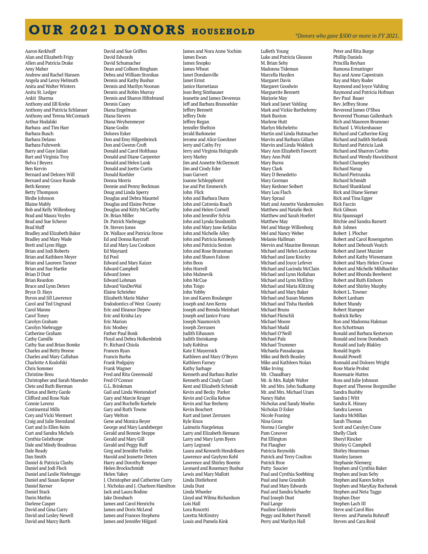# **OUR 2021 DONORS HOUSEHOLD** *\*Donors who gave \$500 or more in FY 2021.*

Aaron Kerkhoff Alan and Elizabeth Frigy Allen and Patricia Drake Amy Maher Andrew and Rachel Hansen Angela and Leroy Helmuth Anita and Walter Winters Anita St. Ledger Ankit Sharma Anthony and Jill Kreke Anthony and Patricia Schlanser Anthony and Teresa McCormack Arthur Hodalski Barbara and Tim Harr Barbara Busch Barbara Delano Barbara Fuhrwerk Barry and Gaye Julian Bart and Virginia Troy Belva J Beyers Ben Kervin Bernard and Delores Will Bernard and Grace Runde Beth Kenney Betty Thompson Birdie Johnson Blaine Mably Bob and Kelly Willenborg Brad and Maura Voyles Brad and Sue Scherer Brad Huff Bradley and Elizabeth Baker Bradley and Mary Wade Brett and Lynn Higgs Brian and Jodi Roberts Brian and Kathleen Meyer Brian and Laureen Tanner Brian and Sue Hartke Brian D Dust Brian Reardon Bruce and Lynn Deters Bryce D. Hays Byron and Jill Lawrence Carol and Ted Ungrund Carol Manns Carol Toney Carolyn Graham Carolyn Niebrugge Catherine Graham Cathy Camille Cathy Sue and Brian Bomke Charles and Betty Breese Charles and Mary Callahan Charlotte A Koslofski Chris Sommer Christine Breu Christopher and Sarah Maender Clete and Ruth Bierman Cletus and Betty Garde Clifford and Rose Nale Connie Lorenz Continental Mills Cory and Vicki Wermert Craig and Julie Stensland Curt and Jo Ellen Keim Curt and Sandra Michels Cynthia Gelsthorpe Dale and Mindy Boudreau Dale Ready Dan Smith Daniel & Patricia Clasby Daniel and Jodi Fleck Daniel and Leslie Niebrugge Daniel and Susan Kepner Daniel Kerner Daniel Stack Darin Mathis Darlene Casper David and Gina Curry David and Lesley Newell David and Marcy Barth

David and Sue Griffen David Edwards David Schumacher Dean and Colleen Bingham Debra and William Stonikas Dennis and Kathy Bushur Dennis and Marilyn Noonan Dennis and Robin Murray Dennis and Sharon Hiltebrand Dennis Casey Diana Engelman Diana Sievers Diana Weyhenmeyer Diane Godin Dolores Esker Don and Emy Hilgenbrinck Don and Gwenn Croft Donald and Carol Holthaus Donald and Diane Carpenter Donald and Helen Lunk Donald and Joette Curtis Donald Koehler Donna Morris Donnie and Penny Beckman Doug and Linda Sperry Douglas and Debra Mauntel Douglas and Elaine Perine Douglas and Kitty McCarthy Dr. Brian Miller Dr. Patrick Niebrugge Dr. Steven Jones Dr. Wallace and Patricia Strow Ed and Donna Raycraft Ed and Mary Lou Cookson Ed Maynard Ed Pool Edward and Mary Kaizer Edward Campbell Edward Jones Edward Lohman Edward VanDerWal Elaine Schrieber Elizabeth Marie Maher Endodontics of West County Eric and Eleanor Depew Eric and Krisha Ley Eric Marion Eric Mosbey Father Paul Bonk Floyd and Debra Holkenbrink Fr. Richard Chiola Frances Ryan Francis Burba Frank Podgajny Frank Wagner Fred and Rita Greenwald Fred O'Connor G.L. Brinkman Gail and Linda Westendorf Gary and Marcie Kruger Gary and Rochelle Koebele Gary and Ruth Towne Gary Welton Gene and Monica Beyer George and Mary Landsberger Gerald and Bonnie Steppe Gerald and Mary Gill Gerald and Peggy Ruff Greg and Jennifer Furkin Harold and Jeanette Deters Harry and Dorothy Kemper Helen Brockschmidt Helen Yakey J. Christopher and Catherine Curry J. Nicholas and J. Charleen Hamilton Jack and Laura Bodine Jake Donsbach James and Carol Henrichs James and Doris McLeod James and Frances Stephens James and Jennifer Hilgard

James and Nora Anne Yochim James Ewan James Snopko James Wheat Janet Dondanville Janet Ernst Janice Harnetiaux Jean Berg Simhauser Jeanette and James Devereux Jeff and Barbara Brunoehler Jeffery Bennett Jeffery Dole Jeffrey Regan Jennifer Shelton Jerald Barkmeier Jerome and Alice Goeckner Jerry and Cathy Fry Jerry and Virginia Holzgrafe Jerry Marley Jim and Annette McDermott Jim and Cindy Eder Joan Garvert Joanne Schlepphorst Joe and Pat Emmerich John Flick John and Barbara Dunn John and Catrenia Roach John and Helen Cornell John and Jennifer Sylvia John and Lynda Snodsmith John and Mary Jane Kefalas John and Nichelle Alley John and Patricia Kennedy John and Patricia Sexton John and Rose Brunsman John and Shawn Faloon John Boos John Horrell John Malmevik John McCue John Toigo John Yobby Jon and Karen Boulanger Joseph and Ann Kerns Joseph and Brenda Meinhart Joseph and Janice Franz Joseph Naumovich Joseph Zerrusen Judith Eihausen Judith Steinkamp Judy Kohlrus Kate E Mayernick Kathleen and Mary O'Bryen Kathleen Farney Kathy Sarhage Kenneth and Barbara Butler Kenneth and Cindy Coari Kent and Elizabeth Schmidt Kevin and Becky Parker Kevin and Cecilia Kehoe Kevin and Sue Breheny Kevin Boschert Kurt and Janet Zerrusen Kyle Knox Laimutis Nargelenas Larry and Elizabeth Hemann Larry and Mary Lynn Byers Larry Legrand Laura and Kenneth Hendriksen Lawrence and Gaylynn Kohl Lawrence and Shirley Boente Leonard and Rosemary Bushur Lewis and Mary Mallott Linda Distlehorst Linda Dust Linda Wheeler Lloyd and Wilma Richardson Lois Hall Lora Roscetti Loretta McKinstry Louis and Pamela Kink

LuBeth Young Luke and Patricia Gleason M. Brian Sehy Madonna Tideman Marcella Hayden Margaret Davis Margaret Goodwin Marguerite Bennett Marjorie May Mark and Janet Vahling Mark and Vickie Barthelemy Mark Buxton Marlene Hutt Marlyn Micheletto Martin and Linda Hutmacher Marvin and Barbara Gillam Marvin and Linda Waldeck Mary Ann Elizabeth Fawcett Mary Ann Pohl Mary Burns Mary Clark Mary D Benedetto Mary Gorman Mary Keshner Seibert Mary Lou Flach Mary Spraul Matt and Annette Vandermolen Matthew and Natalie Beck Matthew and Sarah Hoefert Matthew May Mel and Marge Willenborg Mel and Nancy Weber Melanie Hallman Mervin and Maurine Brennan Michael and Helen Leckrone Michael and Jane Knicley Michael and Joyce Lefever Michael and Lucinda McClain Michael and Lynn Hollahan Michael and Lynn McElroy Michael and Maria Klitzing Michael and Mary Baker Michael and Susan Mumm Michael and Tisha Hardiek Michael Bruns Michael Fleischli Michael Moore Michael Mudd Michael O'Neill Michael Pals Michael Trummer Michaela Passalacqua Mike and Beth Beasley Mike and Kathleen Nolan Mike Irving Mr. Chaudhary Mr. & Mrs. Ralph Walter Mr. and Mrs. John Sudkamp Mr. and Mrs. Michael Uram Nancy Hahn Nicholas and Sandy Moehn Nicholas D Esker Nicole Franing Nina Gross Norma J Gengler Pam Conover Pat Ellington Pat Flaugher Patricia Reynolds Patrick and Terry Coulton Patrick Broe Patty Saucier Paul and Cynthia Soebbing Paul and June Grunloh Paul and Mary Edwards Paul and Sandra Schaefer Paul Joseph Dust Paul Lange Pauline Goldstein Peggy and Robert Parnell Perry and Marilyn Hall

Peter and Rita Burge Phillip Daniels Priscilla Reyhan Ramona Ermatinger Ray and Anne Capestrain Ray and Mary Ruder Raymond and Joyce Vahling Raymond and Patricia Hofman Rev Paul Bauer Rev. Jeffrey Stone Reverend James O'Shea Reverend Thomas Gallenbach Rich and Maureen Brummer Richard L Wickenhauser Richard and Catherine King Richard and Judith Stefanik Richard and Patricia Lask Richard and Sharron Corbin Richard and Wendy Hawickhorst Richard Champley Richard Narup Richard Pietruszka Richard Schmidt Richard Shankland Rick and Diane Siemer Rick and Tina Egger Rick Faccin Rick Gibson Rita Spannagel Ritchie and Sandra Barnett Rob Johnes Robert J. Plocher Robert and Carol Rosengarten Robert and Deborah Veatch Robert and Janet Mazzier Robert and Kathy Wiesemann Robert and Mary Helen Crowe Robert and Michelle Mihlbachler Robert and Rhonda Bereberet Robert and Ruth Einhorn Robert and Shirley Murphy Robert L. Towner Robert Lanham Robert Mundy Robert Stamper Rodrick Kelley Ron and Madonna Hakman Ron Schottman Ronald and Barbara Kesterson Ronald and Irene Donsbach Ronald and Judy Blakley Ronald Ingels Ronald Powell Ronnald and Dolores Wright Rose Marie Probst Rosemarie Huttes Ross and Julie Johnson Rupert and Therese Borgsmiller Sandra Bushby Sandra I Witt Sandra K. Hinsey Sandra Leeson Sandra McMillan Sarah Thomas Scott and Carolyn Crane Shelly Clark Sheryl Rincker Shirley G Campbell Shirley Heuerman Stanley Jansen Stephanie Niemerg Stephen and Cynthia Baker Stephen and Jean Sehy Stephen and Karen Soltys Stephen and MaryKay Bochenek Stephen and Neta Tagge Stephen Dyer Stephen Lach III Steve and Carol Ries Steven and Pamela Bohnoff Steven and Cara Reid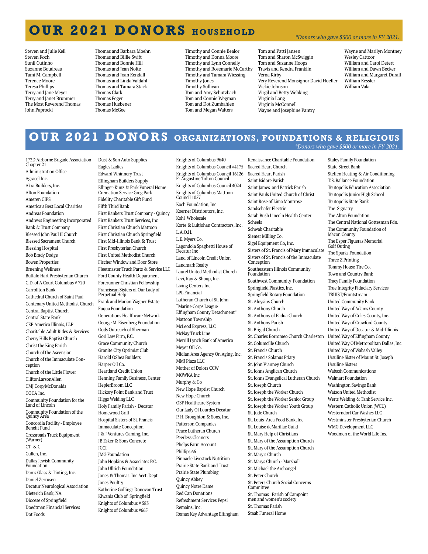## **OUR 2021 DONORS HOUSEHOLD**

Steven and Julie Keil Steven Koch Sunil Cutinho Suzanne Boudreau Tami M. Campbell Terence Moore Teresa Phillips Terry and Jane Meyer Terry and Janet Brummer The Most Reverend Thomas John Paprocki

- Thomas and Barbara Moehn Thomas and Billie Swift Thomas and Bonnie Hill Thomas and Jean Nolte Thomas and Joan Kendall Thomas and Linda Valdahl Thomas and Tamara Stack Thomas Clark Thomas Feger Thomas Huebener Thomas McGee
- Timothy and Connie Bealor Timothy and Donna Moore Timothy and Lynn Connelly Timothy and Rosemarie McCarthy Timothy and Tamara Wiessing Timothy Jones Timothy Sullivan Tom and Amy Schutzbach Tom and Connie Wegman Tom and Dot Zumbahlen Tom and Megan Walters

#### *\*Donors who gave \$500 or more in FY 2021.*

Tom and Patti Jansen Tom and Sharon McSwiggin Tom and Suzanne Hoops Travis and Kendra Franklin Verna Kirby Very Reverend Monsignor David Hoefler Vickie Johnson Virgil and Betty Wehking Virginia Long Virginia McConnell Wayne and Josephine Pantry

Wayne and Marilyn Montney Wesley Cattoor William and Carol Detert William and Dawn Becker William and Margaret Durall William Kessler William Vala

# **OUR 2021 DONORS ORGANIZATIONS, FOUNDATIONS & RELIGIOUS**

#### *\*Donors who gave \$500 or more in FY 2021.*

173D Airborne Brigade Association Chapter 21 Administration Office Agracel Inc. Akra Builders, Inc. Alton Foundation Ameren CIPS America's Best Local Charities Andreas Foundation Andrews Engineering Incorporated Bank & Trust Company Blessed John Paul II Church Blessed Sacrament Church Blessing Hospital Bob Brady Dodge Bowen Properties Bruening Wellness Buffalo Hart Presbyterian Church C.D. of A Court Columbus # 720 Carrollton Bank Cathedral Church of Saint Paul Centenary United Methodist Church Central Baptist Church Central State Bank CEP America Illinois, LLP Charitable Adult Rides & Services Cherry Hills Baptist Church Christ the King Parish Church of the Ascension Church of the Immaculate Conception Church of the Little Flower CliftonLarsonAllen CMJ Corp/McDonalds COCA Inc. Community Foundation for the Land of Lincoln Community Foundation of the Quincy Area Concordia Facility - Employee Benefit Fund Crossroads Truck Equipment (Warner) CT & C Cullen, Inc. Dallas Jewish Community Foundation Dan's Glass & Tinting, Inc. Daniel Zerrusen Decatur Neurological Association Dieterich Bank, NA Diocese of Springfield Doedtman Financial Services Dot Foods

Dust & Son Auto Supplies Eagles Ladies Edward Whinnery Trust Effingham Builders Supply Ellinger-Kunz & Park Funeral Home Cremation Service Greg Park Fidelity Charitable Gift Fund Fifth Third Bank First Bankers Trust Company - Quincy First Bankers Trust Services, Inc First Christian Church Mattoon First Christian Church Springfield First Mid-Illinois Bank & Trust First Presbyterian Church First United Methodist Church Fischer Window and Door Store Fleetmaster Truck Parts & Service LLC Ford County Health Department Forerunner Christian Fellowship Franciscan Sisters of Our Lady of Perpetual Help Frank and Marian Wagner Estate Fuqua Foundation Generations Healthcare Network George M. Eisenberg Foundation Gods Outreach of Sherman Gori Law Firm, P.C. Grace Community Church Granite City Optimist Club Harold OShea Builders Harper Oil Co. Heartland Credit Union Henning Family Business, Center HeplerBroom LLC Hickory Point Bank and Trust Higgs Welding LLC Holy Family Parish - Decatur Homewood Grill Hospital Sisters of St. Francis Immaculate Conception J & J Ventures Gaming, Inc. JB Esker & Sons Concrete **ICCI** JMG Foundation John Hopkins & Associates P.C. John Ullrich Foundation Jones & Thomas, Inc Acct. Dept Jones Poultry Katherine Gollings Donovan Trust Kiwanis Club of Springfield Knights of Columbus # 583 Knights of Columbus #665

Knights of Columbus 9640 Knights of Columbus Council #4175 Knights of Columbus Council 16126 Fr Augustine Tolton Council Knights of Columbus Council 4024 Knights of Columbus Mattoon Council 1057 Koch Foundation, Inc Koerner Distributors, Inc. Kohl Wholesale Korte & Luitjohan Contractors, Inc. L.A.O.H. L.E. Myers Co. Lagondola Spaghetti House of Decatur Inc Land of Lincoln Credit Union Landmark Realty Laurel United Methodist Church Levi, Ray & Shoup, Inc. Living Centers Inc. LPL Financial Lutheran Church of St. John "Marine Corps League Effingham County Detachment" Mattoon Township McLeod Express, LLC McNay Truck Line Merrill Lynch Bank of America Meyer Oil Co. Midlan Area Agency On Aging, Inc. MMJ Plaza LLC Mother of Dolors CCW MOWKA Inc Murphy & Co New Hope Baptist Church New Hope Church OSF Healthcare System Our Lady Of Lourdes Decatur P. H. Broughton & Sons, Inc. Patterson Companies Peace Lutheran Church Peerless Cleaners Phelps Farm Account Phillips 66 Pinnacle Livestock Nutrition Prairie State Bank and Trust Prairie State Plumbing Quincy Abbey Quincy Notre Dame Red Can Donations Refreshment Services Pepsi Remains, Inc. Remax Key Advantage Effingham

Renaissance Charitable Foundation Sacred Heart Church Sacred Heart Parish Saint Isidore Parish Saint James and Patrick Parish Saint Pauls United Church of Christ Saint Rose of Lima Montrose Sandschafer Electric Sarah Bush Lincoln Health Center Scheels Schwab Charitable Siemer Milling Co. Sigel Equipment Co, Inc. Sisters of St. Francis of Mary Immaculate Sisters of St. Francis of the Immaculate Conception Southeastern Illinois Community Foundation Southwest Community Foundation Springfield Plastics, Inc. Springfield Rotary Foundation St. Aloysius Church St. Anthony Church St. Anthony of Padua Church St. Anthony Parish St. Brigid Church St. Charles Borromeo Church Charleston St. Columcille Church St. Francis Church St. Francis Solanus Friary St. John Vianney Church St. Johns Anglican Church St. Johns Evangelical Lutheran Church St. Joseph Church St. Joseph the Worker Church St. Joseph the Worker Senior Group St. Joseph the Worker Youth Group St. Jude Church St. Louis Area Food Bank, Inc St. Louise deMarillac Guild St. Mary Help of Christians St. Mary of the Assumption Church St. Mary of the Assumption Church St. Mary's Church St. Marys Church - Marshall St. Michael the Archangel St. Peter Church St. Peters Church Social Concerns Committee St. Thomas Parish of Campoint men and women's society St. Thomas Parish

Staab Funeral Home

Staley Family Foundation State Street Bank Steffen Heating & Air Conditioning T.S. Ballance Foundation Teutopolis Education Association Teutopolis Junior High School Teutopolis State Bank The Signatry The Alton Foundation The Central National Gottesman Fdn. The Community Foundation of Macon County The Esper Figueras Memorial Golf Outing The Sparks Foundation Three Z Printing Tommy House Tire Co. Town and Country Bank Tracy Family Foundation True Integrity Fiduciary Services TRUIST/Frontstream United Community Bank United Way of Adams County United Way of Coles County, Inc. United Way of Crawford County United Way of Decatur & Mid-Illinois United Way of Effingham County United Way Of Metropolitan Dallas, Inc. United Way of Wabash Valley Ursuline Sister of Mount St. Joseph Ursuline Sisters Wabash Communications Walmart Foundation Washington Savings Bank Watson United Methodist Werts Welding & Tank Service Inc. Western Catholic Union (WCU) Westerndorf Car Washes LLC Westminster Presbyterian Church WMG Development LLC Woodmen of the World Life Ins.